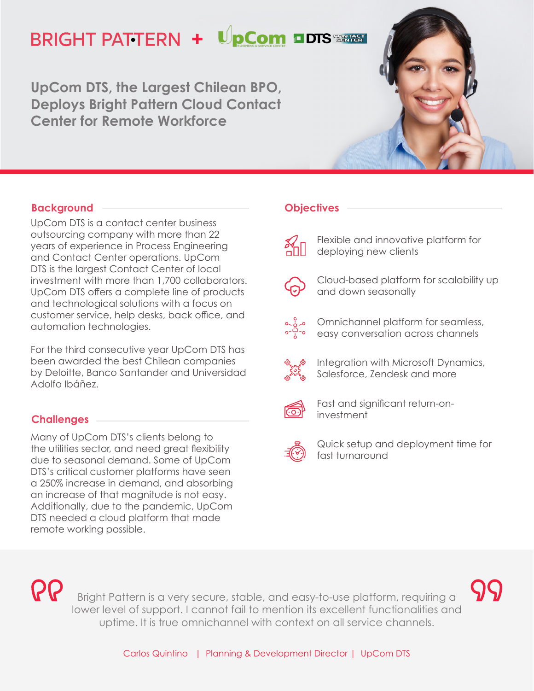# **BRIGHT PATTERN + UpCom DDTS SERRET**

**UpCom DTS, the Largest Chilean BPO, Deploys Bright Pattern Cloud Contact Center for Remote Workforce**

## **Background**

UpCom DTS is a contact center business outsourcing company with more than 22 years of experience in Process Engineering and Contact Center operations. UpCom DTS is the largest Contact Center of local investment with more than 1,700 collaborators. UpCom DTS offers a complete line of products and technological solutions with a focus on customer service, help desks, back office, and automation technologies.

For the third consecutive year UpCom DTS has been awarded the best Chilean companies by Deloitte, Banco Santander and Universidad Adolfo Ibáñez.

## **Challenges**

Many of UpCom DTS's clients belong to the utilities sector, and need great flexibility due to seasonal demand. Some of UpCom DTS's critical customer platforms have seen a 250% increase in demand, and absorbing an increase of that magnitude is not easy. Additionally, due to the pandemic, UpCom DTS needed a cloud platform that made remote working possible.

#### **Objectives**

- 
- Flexible and innovative platform for deploying new clients
- 
- Cloud-based platform for scalability up and down seasonally
- Omnichannel platform for seamless, easy conversation across channels



Integration with Microsoft Dynamics, Salesforce, Zendesk and more



Fast and significant return-oninvestment



Quick setup and deployment time for fast turnaround

**PP** 

Bright Pattern is a very secure, stable, and easy-to-use platform, requiring a lower level of support. I cannot fail to mention its excellent functionalities and uptime. It is true omnichannel with context on all service channels.